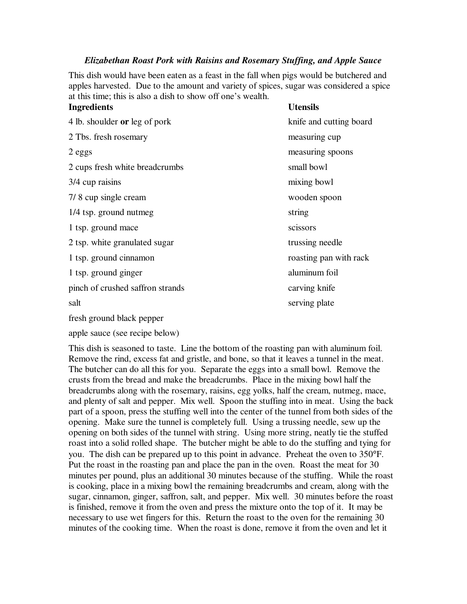## *Elizabethan Roast Pork with Raisins and Rosemary Stuffing, and Apple Sauce*

This dish would have been eaten as a feast in the fall when pigs would be butchered and apples harvested. Due to the amount and variety of spices, sugar was considered a spice at this time; this is also a dish to show off one's wealth.

| <b>Ingredients</b>               | <b>Utensils</b>         |
|----------------------------------|-------------------------|
| 4 lb. shoulder or leg of pork    | knife and cutting board |
| 2 Tbs. fresh rosemary            | measuring cup           |
| 2 eggs                           | measuring spoons        |
| 2 cups fresh white breadcrumbs   | small bowl              |
| 3/4 cup raisins                  | mixing bowl             |
| 7/8 cup single cream             | wooden spoon            |
| 1/4 tsp. ground nutmeg           | string                  |
| 1 tsp. ground mace               | scissors                |
| 2 tsp. white granulated sugar    | trussing needle         |
| 1 tsp. ground cinnamon           | roasting pan with rack  |
| 1 tsp. ground ginger             | aluminum foil           |
| pinch of crushed saffron strands | carving knife           |
| salt                             | serving plate           |

fresh ground black pepper

apple sauce (see recipe below)

This dish is seasoned to taste. Line the bottom of the roasting pan with aluminum foil. Remove the rind, excess fat and gristle, and bone, so that it leaves a tunnel in the meat. The butcher can do all this for you. Separate the eggs into a small bowl. Remove the crusts from the bread and make the breadcrumbs. Place in the mixing bowl half the breadcrumbs along with the rosemary, raisins, egg yolks, half the cream, nutmeg, mace, and plenty of salt and pepper. Mix well. Spoon the stuffing into in meat. Using the back part of a spoon, press the stuffing well into the center of the tunnel from both sides of the opening. Make sure the tunnel is completely full. Using a trussing needle, sew up the opening on both sides of the tunnel with string. Using more string, neatly tie the stuffed roast into a solid rolled shape. The butcher might be able to do the stuffing and tying for you. The dish can be prepared up to this point in advance. Preheat the oven to 350°F. Put the roast in the roasting pan and place the pan in the oven. Roast the meat for 30 minutes per pound, plus an additional 30 minutes because of the stuffing. While the roast is cooking, place in a mixing bowl the remaining breadcrumbs and cream, along with the sugar, cinnamon, ginger, saffron, salt, and pepper. Mix well. 30 minutes before the roast is finished, remove it from the oven and press the mixture onto the top of it. It may be necessary to use wet fingers for this. Return the roast to the oven for the remaining 30 minutes of the cooking time. When the roast is done, remove it from the oven and let it